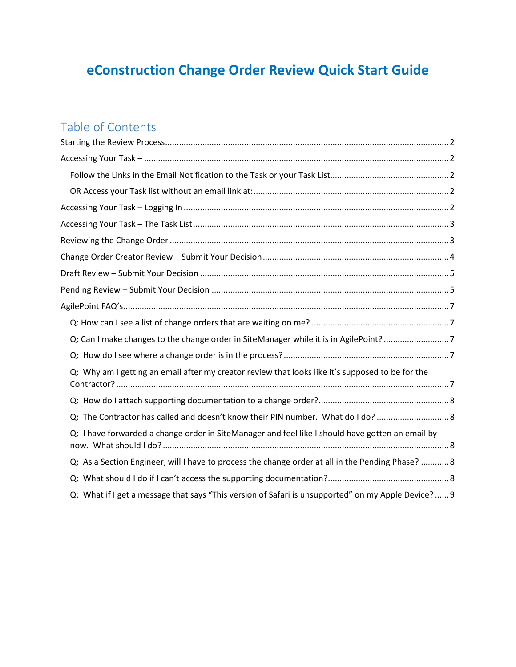# **eConstruction Change Order Review Quick Start Guide**

# Table of Contents

| Q: Can I make changes to the change order in SiteManager while it is in AgilePoint? 7               |  |
|-----------------------------------------------------------------------------------------------------|--|
|                                                                                                     |  |
| Q: Why am I getting an email after my creator review that looks like it's supposed to be for the    |  |
|                                                                                                     |  |
| Q: The Contractor has called and doesn't know their PIN number. What do I do?  8                    |  |
| Q: I have forwarded a change order in SiteManager and feel like I should have gotten an email by    |  |
| Q: As a Section Engineer, will I have to process the change order at all in the Pending Phase?  8   |  |
|                                                                                                     |  |
| Q: What if I get a message that says "This version of Safari is unsupported" on my Apple Device?  9 |  |
|                                                                                                     |  |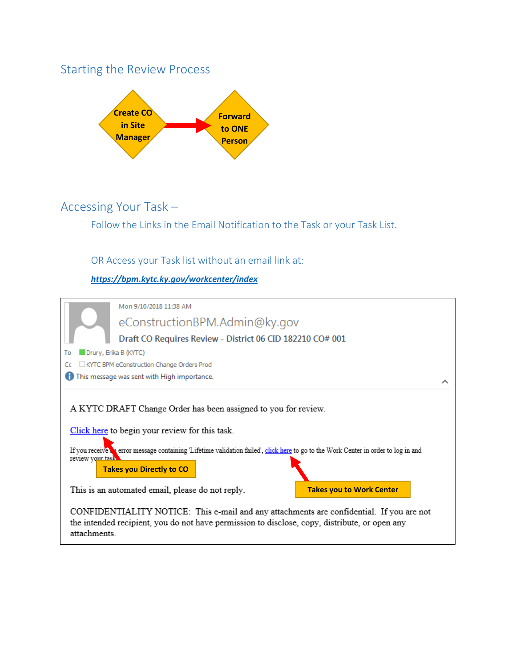## <span id="page-1-0"></span>Starting the Review Process



## <span id="page-1-2"></span><span id="page-1-1"></span>Accessing Your Task –

Follow the Links in the Email Notification to the Task or your Task List.

## <span id="page-1-3"></span>OR Access your Task list without an email link at:

*<https://bpm.kytc.ky.gov/workcenter/index>*

<span id="page-1-4"></span>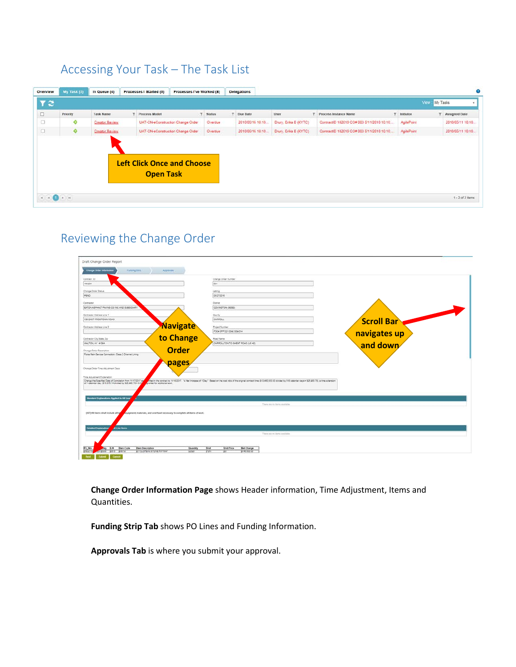# <span id="page-2-0"></span>Accessing Your Task – The Task List

| Overview                                              | My Task (2) | In Queue (4)          | Processes   Started (0)                               | Processes I've Worked (8) |          |               | <b>Delegations</b> |                       |                                            |   |            |               | ø                  |
|-------------------------------------------------------|-------------|-----------------------|-------------------------------------------------------|---------------------------|----------|---------------|--------------------|-----------------------|--------------------------------------------|---|------------|---------------|--------------------|
| $T \approx$                                           |             |                       |                                                       |                           |          |               |                    |                       |                                            |   |            | View My Tasks |                    |
| $\Box$                                                | Priority    | <b>Task Name</b>      | <b>T</b> Process Model                                |                           | T Status | $\rightarrow$ | Due Date           | User                  | T Process Instance Name                    | ۳ | Initiator  | ÷             | Assigned Date      |
| $\Box$                                                | ۰           | Creator Review        | UAT-CN-eConstruction Change Order                     |                           | Overdue  |               | 2018/05/16 10:18.  | Drury, Erika B (KYTC) | ContractID 182019 CO# 003 5/11/2018 10:18: |   | AgilePoint |               | 2010/05/11 10:10.  |
| $\Box$                                                | ۰           | <b>Creator Review</b> | UAT-CN-eConstruction Change Order                     |                           | Overdue  |               | 2018/05/16 10:18.  | Drury, Erika B (KYTC) | ContractID 182019 CO# 003 5/11/2018 10:18: |   | AgilePoint |               | 2018/05/11 10:18.  |
|                                                       |             |                       | <b>Left Click Once and Choose</b><br><b>Open Task</b> |                           |          |               |                    |                       |                                            |   |            |               |                    |
| $\mathbb{H} \times \mathbb{G} \rightarrow \mathbb{H}$ |             |                       |                                                       |                           |          |               |                    |                       |                                            |   |            |               | $1 - 2$ of 2 items |

# <span id="page-2-1"></span>Reviewing the Change Order

| DOT<br>Leting<br>dscrippie<br>Dariet<br>COVINGTON (06960)<br><b>Dauchy</b><br>CARROLL<br><b>Scroll Bar</b><br>Navigate<br><b>Project Number</b><br>FD04 SPP 021 0042 009-014<br>navigates up<br>to Change<br>Road Name<br>and down<br>CARROLLTON TO GHENT ROAD JUS 42:<br><b>Order</b><br>pages<br>red in the contract to 19/10/2017. "A Net increase of 1 Day," Sased on the cost ratio of the original contract time (\$13,400,033.00 divided by 518 calendar days = \$25,903.76;; a time edension<br>parted for additional work<br><b>Itanetard Explanations Applied to All Line 7</b><br>There are no have available. | Carosat ID                                                                                                                                                                                                                                                                                                                      | Change Order Number |  |  |
|---------------------------------------------------------------------------------------------------------------------------------------------------------------------------------------------------------------------------------------------------------------------------------------------------------------------------------------------------------------------------------------------------------------------------------------------------------------------------------------------------------------------------------------------------------------------------------------------------------------------------|---------------------------------------------------------------------------------------------------------------------------------------------------------------------------------------------------------------------------------------------------------------------------------------------------------------------------------|---------------------|--|--|
| Chenge Drawl Stetus                                                                                                                                                                                                                                                                                                                                                                                                                                                                                                                                                                                                       | 181234                                                                                                                                                                                                                                                                                                                          |                     |  |  |
| PEND.                                                                                                                                                                                                                                                                                                                                                                                                                                                                                                                                                                                                                     |                                                                                                                                                                                                                                                                                                                                 |                     |  |  |
|                                                                                                                                                                                                                                                                                                                                                                                                                                                                                                                                                                                                                           |                                                                                                                                                                                                                                                                                                                                 |                     |  |  |
|                                                                                                                                                                                                                                                                                                                                                                                                                                                                                                                                                                                                                           |                                                                                                                                                                                                                                                                                                                                 |                     |  |  |
| EATON ASPHALT PAITNG CO INC AND SUBSIDIARY<br>Contractor Apprens Line 1<br>138 EAST FROGTOWN ROAD<br>Civinadar Address Line 2                                                                                                                                                                                                                                                                                                                                                                                                                                                                                             | Contractor                                                                                                                                                                                                                                                                                                                      |                     |  |  |
|                                                                                                                                                                                                                                                                                                                                                                                                                                                                                                                                                                                                                           |                                                                                                                                                                                                                                                                                                                                 |                     |  |  |
|                                                                                                                                                                                                                                                                                                                                                                                                                                                                                                                                                                                                                           |                                                                                                                                                                                                                                                                                                                                 |                     |  |  |
|                                                                                                                                                                                                                                                                                                                                                                                                                                                                                                                                                                                                                           |                                                                                                                                                                                                                                                                                                                                 |                     |  |  |
|                                                                                                                                                                                                                                                                                                                                                                                                                                                                                                                                                                                                                           |                                                                                                                                                                                                                                                                                                                                 |                     |  |  |
| Contractor City State, Zip                                                                                                                                                                                                                                                                                                                                                                                                                                                                                                                                                                                                |                                                                                                                                                                                                                                                                                                                                 |                     |  |  |
| WALTON, KY 41004                                                                                                                                                                                                                                                                                                                                                                                                                                                                                                                                                                                                          |                                                                                                                                                                                                                                                                                                                                 |                     |  |  |
|                                                                                                                                                                                                                                                                                                                                                                                                                                                                                                                                                                                                                           |                                                                                                                                                                                                                                                                                                                                 |                     |  |  |
|                                                                                                                                                                                                                                                                                                                                                                                                                                                                                                                                                                                                                           |                                                                                                                                                                                                                                                                                                                                 |                     |  |  |
|                                                                                                                                                                                                                                                                                                                                                                                                                                                                                                                                                                                                                           |                                                                                                                                                                                                                                                                                                                                 |                     |  |  |
|                                                                                                                                                                                                                                                                                                                                                                                                                                                                                                                                                                                                                           |                                                                                                                                                                                                                                                                                                                                 |                     |  |  |
|                                                                                                                                                                                                                                                                                                                                                                                                                                                                                                                                                                                                                           |                                                                                                                                                                                                                                                                                                                                 |                     |  |  |
|                                                                                                                                                                                                                                                                                                                                                                                                                                                                                                                                                                                                                           |                                                                                                                                                                                                                                                                                                                                 |                     |  |  |
|                                                                                                                                                                                                                                                                                                                                                                                                                                                                                                                                                                                                                           |                                                                                                                                                                                                                                                                                                                                 |                     |  |  |
|                                                                                                                                                                                                                                                                                                                                                                                                                                                                                                                                                                                                                           |                                                                                                                                                                                                                                                                                                                                 |                     |  |  |
|                                                                                                                                                                                                                                                                                                                                                                                                                                                                                                                                                                                                                           | equipment, materials, and overhead necessary to complete all items of work.                                                                                                                                                                                                                                                     |                     |  |  |
|                                                                                                                                                                                                                                                                                                                                                                                                                                                                                                                                                                                                                           |                                                                                                                                                                                                                                                                                                                                 |                     |  |  |
|                                                                                                                                                                                                                                                                                                                                                                                                                                                                                                                                                                                                                           |                                                                                                                                                                                                                                                                                                                                 |                     |  |  |
| <b>Alline Benu</b><br><b>Detailed Exploration</b>                                                                                                                                                                                                                                                                                                                                                                                                                                                                                                                                                                         |                                                                                                                                                                                                                                                                                                                                 |                     |  |  |
| There are no barro available                                                                                                                                                                                                                                                                                                                                                                                                                                                                                                                                                                                              | Change Order Description<br>Force Main Service Connection: Class 2 Channel Lining<br>Change Order Time Adjustment Days:<br>Time Adjustment Explanation<br>Change the Specified Date of Completion from 11/17/2017 as<br>of 1 celender day, (\$13,875.14 divided by \$25,005.78 x 0.53)<br>(027) All items shall include all tax |                     |  |  |

**Change Order Information Page** shows Header information, Time Adjustment, Items and Quantities.

**Funding Strip Tab** shows PO Lines and Funding Information.

**Approvals Tab** is where you submit your approval.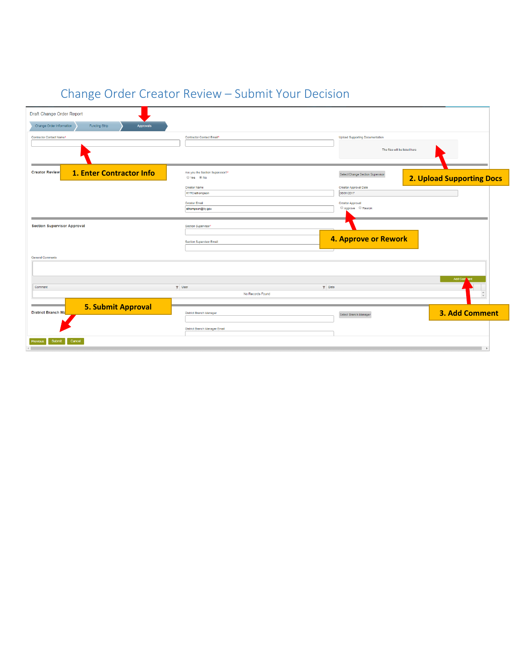| Draft Change Order Report                                     |                                              |                                            |                                  |
|---------------------------------------------------------------|----------------------------------------------|--------------------------------------------|----------------------------------|
| Change Order Information<br>Funding Strip<br><b>Approvals</b> |                                              |                                            |                                  |
| Contractor Contact Name*                                      | Contractor Contact Email*                    | <b>Upload Supporting Documentation</b>     |                                  |
|                                                               |                                              | The files will be listed here              |                                  |
| 1. Enter Contractor Info<br><b>Creator Review</b>             | Are you the Section Supervisor?*             | Select/Change Section Supervisor           | <b>2. Upload Supporting Docs</b> |
|                                                               | <b>Creator Name</b><br><b>KYTC\sthompson</b> | <b>Creator Approval Date</b><br>08/01/2017 |                                  |
|                                                               | <b>Creator Email</b><br>sthompson@ky.gov     | <b>Creator Approval</b><br>Approve Rework  |                                  |
| <b>Section Supervisor Approval</b>                            | Section Supervisor*                          |                                            |                                  |
|                                                               | <b>Section Supervisor Email</b>              | <b>4. Approve or Rework</b>                |                                  |
| <b>General Comments</b>                                       |                                              |                                            |                                  |
|                                                               |                                              |                                            | Add Com                          |
| Comment                                                       | $T$ User<br>$T$ Date                         |                                            |                                  |
|                                                               | No Records Found                             |                                            | $\Delta$<br>$\boldsymbol{\tau}$  |
| <b>5. Submit Approval</b><br><b>District Branch Ma</b>        | <b>District Branch Manager</b>               | Select Branch Manager                      | 3. Add Comment                   |
|                                                               | District Branch Manager Email                |                                            |                                  |
| Submit<br>Cancel<br>Previous                                  |                                              |                                            | $\overline{ }$                   |

# <span id="page-3-0"></span>Change Order Creator Review – Submit Your Decision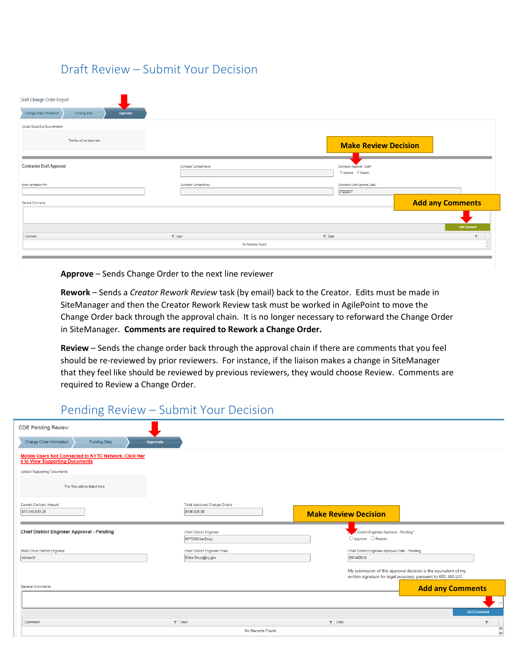## <span id="page-4-0"></span>Draft Review – Submit Your Decision

| Draft Change Order Report                                     |                          |                                                        |
|---------------------------------------------------------------|--------------------------|--------------------------------------------------------|
| Change Order Information<br>Funding Strip<br><b>Approvals</b> |                          |                                                        |
| Upload Supporting Documentation                               |                          |                                                        |
| The files will be listed here                                 |                          | <b>Make Review Decision</b>                            |
| <b>Contractor Draft Approval</b>                              | Contractor Contact Name  | Contractor Approval - Draft*<br>$O$ Approve $O$ Rework |
| Enter verification PIN                                        | Contractor Contact Email | Contractor Draft Approval Date*<br>07/20/2017          |
| General Comments                                              |                          | <b>Add any Comments</b>                                |
|                                                               |                          |                                                        |
| Comment                                                       | $\P$ User<br>$\P$ Date   | <b>Add Comment</b><br>$\overline{\phantom{a}}$         |
|                                                               | No Records Found         |                                                        |
|                                                               |                          |                                                        |

**Approve** – Sends Change Order to the next line reviewer

**Rework** – Sends a *Creator Rework Review* task (by email) back to the Creator. Edits must be made in SiteManager and then the Creator Rework Review task must be worked in AgilePoint to move the Change Order back through the approval chain. It is no longer necessary to reforward the Change Order in SiteManager. **Comments are required to Rework a Change Order.**

**Review** – Sends the change order back through the approval chain if there are comments that you feel should be re-reviewed by prior reviewers. For instance, if the liaison makes a change in SiteManager that they feel like should be reviewed by previous reviewers, they would choose Review. Comments are required to Review a Change Order.

## <span id="page-4-1"></span>Pending Review – Submit Your Decision

| <b>CDE Pending Review</b>                                                               |                  |                                                     |               |                                                                                                                                                                            |
|-----------------------------------------------------------------------------------------|------------------|-----------------------------------------------------|---------------|----------------------------------------------------------------------------------------------------------------------------------------------------------------------------|
| Change Order Information<br><b>Funding Strip</b>                                        | <b>Approvals</b> |                                                     |               |                                                                                                                                                                            |
| Mobile Users Not Connected to KYTC Network, Click Her<br>e to View Supporting Documents |                  |                                                     |               |                                                                                                                                                                            |
| <b>Upload Supporting Documents</b>                                                      |                  |                                                     |               |                                                                                                                                                                            |
| The files will be listed here                                                           |                  |                                                     |               |                                                                                                                                                                            |
| <b>Current Contract Amount</b><br>\$77,540,633.28                                       |                  | <b>Total Approved Change Orders</b><br>\$106,620.00 |               | <b>Make Review Decision</b>                                                                                                                                                |
| <b>Chief District Engineer Approval - Pending</b>                                       |                  | <b>Chief District Engineer</b><br>KYTC\Erika.Drury  |               | di District Engineer Approval - Pending*<br>○ Approve ○ Rework                                                                                                             |
| <b>SMID Chief District Engineer</b>                                                     |                  | <b>Chief District Engineer Email</b>                |               | Chief District Engineer Approval Date - Pending                                                                                                                            |
| ebrown3<br><b>General Comments</b>                                                      |                  | Erika.Drury@ky.gov                                  |               | 09/14/2018<br>My submission of this approval decision is the equivalent of my<br>written signature for legal purposes, pursuant to KRS 369.107.<br><b>Add any Comments</b> |
|                                                                                         |                  |                                                     |               | <b>Add Comment</b>                                                                                                                                                         |
| Comment                                                                                 |                  | $\nabla$ User                                       | $\nabla$ Date | $\overline{\mathsf{T}}$                                                                                                                                                    |
|                                                                                         |                  | No Records Found                                    |               | $\hat{\phantom{0}}$                                                                                                                                                        |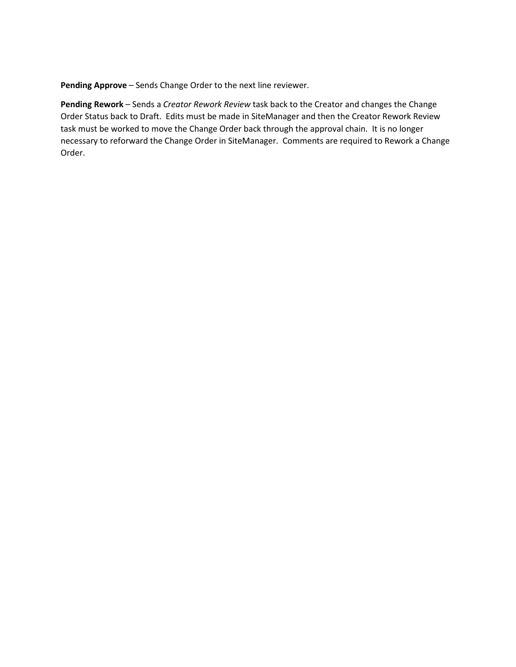**Pending Approve** – Sends Change Order to the next line reviewer.

**Pending Rework** – Sends a *Creator Rework Review* task back to the Creator and changes the Change Order Status back to Draft. Edits must be made in SiteManager and then the Creator Rework Review task must be worked to move the Change Order back through the approval chain. It is no longer necessary to reforward the Change Order in SiteManager. Comments are required to Rework a Change Order.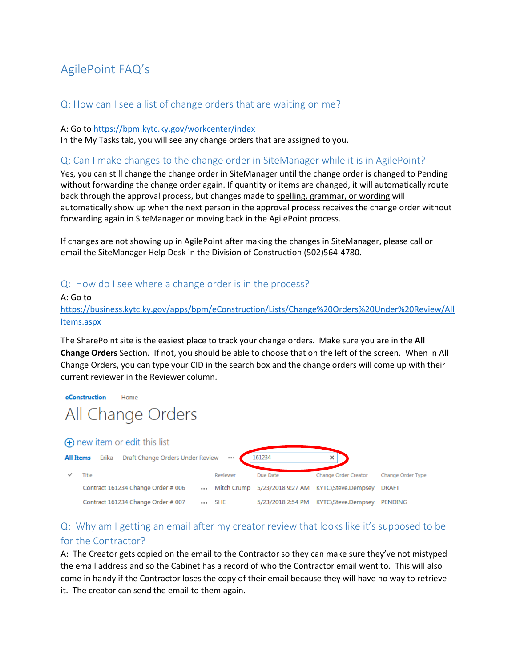# <span id="page-6-0"></span>AgilePoint FAQ's

### <span id="page-6-1"></span>Q: How can I see a list of change orders that are waiting on me?

#### A: Go to<https://bpm.kytc.ky.gov/workcenter/index>

In the My Tasks tab, you will see any change orders that are assigned to you.

#### <span id="page-6-2"></span>Q: Can I make changes to the change order in SiteManager while it is in AgilePoint?

Yes, you can still change the change order in SiteManager until the change order is changed to Pending without forwarding the change order again. If quantity or items are changed, it will automatically route back through the approval process, but changes made to spelling, grammar, or wording will automatically show up when the next person in the approval process receives the change order without forwarding again in SiteManager or moving back in the AgilePoint process.

If changes are not showing up in AgilePoint after making the changes in SiteManager, please call or email the SiteManager Help Desk in the Division of Construction (502)564-4780.

### <span id="page-6-3"></span>Q: How do I see where a change order is in the process?

A: Go to [https://business.kytc.ky.gov/apps/bpm/eConstruction/Lists/Change%20Orders%20Under%20Review/All](https://business.kytc.ky.gov/apps/bpm/eConstruction/Lists/Change%20Orders%20Under%20Review/AllItems.aspx) [Items.aspx](https://business.kytc.ky.gov/apps/bpm/eConstruction/Lists/Change%20Orders%20Under%20Review/AllItems.aspx)

The SharePoint site is the easiest place to track your change orders. Make sure you are in the **All Change Orders** Section. If not, you should be able to choose that on the left of the screen. When in All Change Orders, you can type your CID in the search box and the change orders will come up with their current reviewer in the Reviewer column.

#### eConstruction Home All Change Orders



## <span id="page-6-4"></span>Q: Why am I getting an email after my creator review that looks like it's supposed to be for the Contractor?

A: The Creator gets copied on the email to the Contractor so they can make sure they've not mistyped the email address and so the Cabinet has a record of who the Contractor email went to. This will also come in handy if the Contractor loses the copy of their email because they will have no way to retrieve it. The creator can send the email to them again.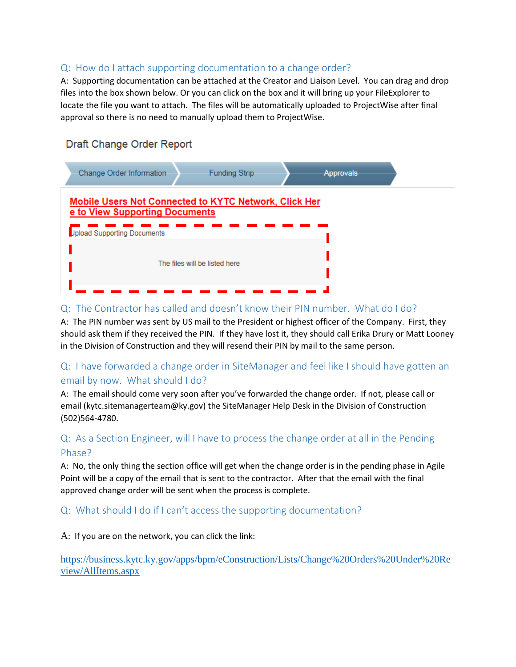## <span id="page-7-0"></span>Q: How do I attach supporting documentation to a change order?

A: Supporting documentation can be attached at the Creator and Liaison Level. You can drag and drop files into the box shown below. Or you can click on the box and it will bring up your FileExplorer to locate the file you want to attach. The files will be automatically uploaded to ProjectWise after final approval so there is no need to manually upload them to ProjectWise.

## Draft Change Order Report

| Change Order Information           |                                | <b>Funding Strip</b>                                         | Approvals |  |
|------------------------------------|--------------------------------|--------------------------------------------------------------|-----------|--|
| <b>Jpload Supporting Documents</b> | e to View Supporting Documents | <b>Mobile Users Not Connected to KYTC Network, Click Her</b> |           |  |
|                                    |                                | The files will be listed here                                |           |  |

## <span id="page-7-1"></span>Q: The Contractor has called and doesn't know their PIN number. What do I do?

A: The PIN number was sent by US mail to the President or highest officer of the Company. First, they should ask them if they received the PIN. If they have lost it, they should call Erika Drury or Matt Looney in the Division of Construction and they will resend their PIN by mail to the same person.

## <span id="page-7-2"></span>Q: I have forwarded a change order in SiteManager and feel like I should have gotten an email by now. What should I do?

A: The email should come very soon after you've forwarded the change order. If not, please call or email (kytc.sitemanagerteam@ky.gov) the SiteManager Help Desk in the Division of Construction (502)564-4780.

## <span id="page-7-3"></span>Q: As a Section Engineer, will I have to process the change order at all in the Pending Phase?

A: No, the only thing the section office will get when the change order is in the pending phase in Agile Point will be a copy of the email that is sent to the contractor. After that the email with the final approved change order will be sent when the process is complete.

### <span id="page-7-4"></span>Q: What should I do if I can't access the supporting documentation?

A: If you are on the network, you can click the link:

[https://business.kytc.ky.gov/apps/bpm/eConstruction/Lists/Change%20Orders%20Under%20Re](https://business.kytc.ky.gov/apps/bpm/eConstruction/Lists/Change%20Orders%20Under%20Review/AllItems.aspx) [view/AllItems.aspx](https://business.kytc.ky.gov/apps/bpm/eConstruction/Lists/Change%20Orders%20Under%20Review/AllItems.aspx)